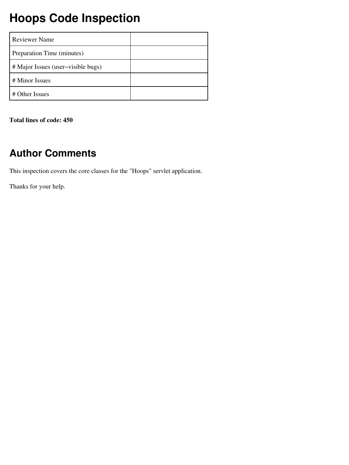## **Hoops Code Inspection**

| <b>Reviewer Name</b>               |  |
|------------------------------------|--|
| Preparation Time (minutes)         |  |
| # Major Issues (user-visible bugs) |  |
| # Minor Issues                     |  |
| # Other Issues                     |  |

**Total lines of code: 450**

### **Author Comments**

This inspection covers the core classes for the "Hoops" servlet application.

Thanks for your help.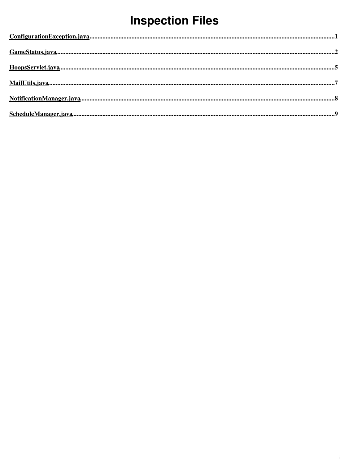# **Inspection Files**

| $ConfigurationException.java 1$ |  |
|---------------------------------|--|
|                                 |  |
|                                 |  |
|                                 |  |
|                                 |  |
|                                 |  |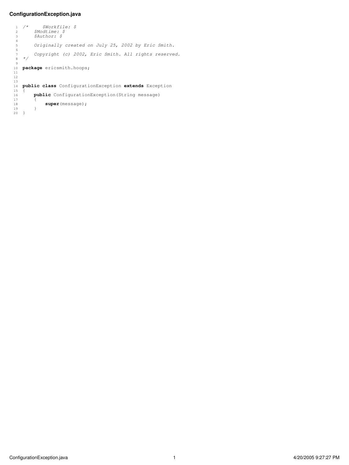#### <span id="page-2-0"></span>**ConfigurationException.java**

```
 1 /* $Workfile: $
 2 $Modtime: $
 3 $Author: $
   4
   5 Originally created on July 25, 2002 by Eric Smith.
   6
  7 Copyright (c) 2002, Eric Smith. All rights reserved.
      8 */
   9
 10 package ericsmith.hoops;
 11
  12
 13
     14 public class ConfigurationException extends Exception
15 \quad \overline{\text{}} 16 public ConfigurationException(String message)
 \begin{array}{c} 17 \\ 18 \end{array}super(message);
  19 }
  20 }
```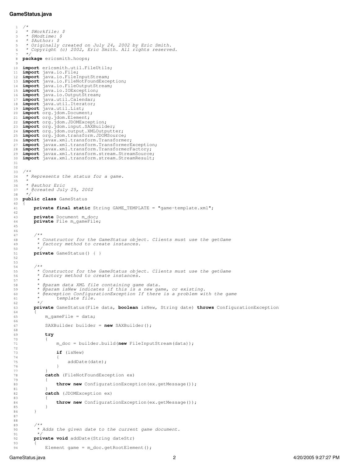#### <span id="page-3-0"></span>**GameStatus.java**

```
\frac{1}{2},
        2 * $Workfile: $
   3 * $Modtime: $
          4 * $Author: $
 5 * Originally created on July 24, 2002 by Eric Smith.
 6 * Copyright (c) 2002, Eric Smith. All rights reserved.
        7 */
   8 package ericsmith.hoops;
 9
 10 import ericsmith.util.FileUtils;<br>11 import java.io.File;
     import java.io.File;<br>import java.io.FileI
 12 import java.io.FileInputStream;<br>13 import java.io.FileNotFoundExce
 13 import java.io.FileNotFoundException;
 14 import java.io.FileOutputStream;
 15 import java.io.IOException;
 16 import java.io.OutputStream;
 17 import java.util.Calendar;
 18 import java.util.Iterator;
 19 import java.util.List;
 20 import org.jdom.Document;
 21 import org.jdom.Element;
  22 import org.jdom.JDOMException;
 23 import org.jdom.input.SAXBuilder;<br>24 import org.idom.output.XMLOutputt
 24 import org.jdom.output.XMLOutputter;
     import org.jdom.transform.JDOMSource;
  26 import javax.xml.transform.Transformer;
  27 import javax.xml.transform.TransformerException;
 28 import javax.xml.transform.TransformerFactory;
 29 import javax.xml.transform.stream.StreamSource;
  30 import javax.xml.transform.stream.StreamResult;
  31
  32
 33 / * *<br>34 *
       34 * Represents the status for a game.
  35 *
  36 * @author Eric
          37 * @created July 25, 2002
  38 */
      39 public class GameStatus
 \frac{40}{41} 41 private final static String GAME_TEMPLATE = "game−template.xml";
  42
 43 private Document m_doc;<br>44 private File m gameFile
          private File m_gameFile;
  45
  46
  47 /**
  48 * Constructor for the GameStatus object. Clients must use the getGame
             49 * factory method to create instances.
  50 */
  51 private GameStatus() { }
  52
  53
 54 /**<br>55 *
  55 * Constructor for the GameStatus object. Clients must use the getGame
             56 * factory method to create instances.
  57 *
  58 * @param data XML file containing game data.
 59 * @param isNew indicates if this is a new game, or existing.
 60 * @exception ConfigurationException If there is a problem with the game
  61 * template file.
  62 */
  63 private GameStatus(File data, boolean isNew, String date) throws ConfigurationException
  64 {
  65 m_gameFile = data;
 66<br>67
                SAXBuilder builder = new SAXBuilder();
  68
                 69 try
 70<br>71 71 m_doc = builder.build(new FileInputStream(data));
  72
  73 if (isNew)
 74 {
 75 addDate(date);
 76 }
  77 }
 78 catch (FileNotFoundException ex)
 79 {
 80 throw new ConfigurationException(ex.getMessage());
 81<br>82catch (JDOMException ex)
 83<br>84
                      84 throw new ConfigurationException(ex.getMessage());
 \begin{array}{ccc}\n85 & & & \\
86 & & & \n\end{array} 86 }
  87
  88
  89 /**
             90 * Adds the given date to the current game document.
  91 */
           92 private void addDate(String dateStr)
  93 {
```

```
Element game = m_doc.getRootElement();
```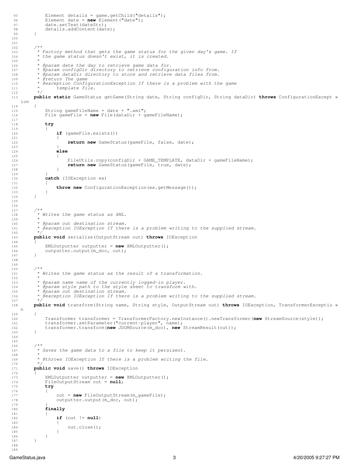```
95 Element details = game.getChild("details");<br>96 Element date = new Element("date");
 96 Element date = new Element ("date");<br>97 date.setText(dateStr);
 97 date.setText(dateStr);<br>98 details.addContent(dat
                details.addContent(date);
  99 }
 100
\frac{101}{102}102 /**<br>103 *
 103 * Factory method that gets the game status for the given day's game. If
 104 * the game status doesn't exist, it is created.
 105 *
 106 * @param date the day to retrieve game data for.
 107 * @param configDir directory to retrieve configuration info from.
 108 * @param dataDir directory to store and retrieve data files from.
109 * ereturn The game<br>110 * eexception Confi
 110 * @exception ConfigurationException If there is a problem with the game
                     template file.
 112 */
           113 public static GameStatus getGame(String date, String configDir, String dataDir) throws ConfigurationExcept «
     ion
 114 {
 115 String gameFileName = date + ".xml";
 116 File gameFile = new File(dataDir + gameFileName);
 117
 118 try
 119 {
 120 if (gameFile.exists())
\begin{array}{ccc} 121 & & & \end{array} \begin{array}{ccc} 122 & & & \end{array}return new GameStatus(gameFile, false, date);
123<br>124 124 else
125<br>126FileUtils.copy(configDir + GAME_TEMPLATE, dataDir + gameFileName);
127 return new GameStatus(gameFile, true, date);
 128 }
 129 }
               catch (IOException ex)
\begin{array}{c} 131 \\ 132 \end{array}throw new ConfigurationException(ex.getMessage());
\begin{array}{ccc} 1\,3\,3 & & \\ 1\,3\,4 & & \end{array} 134 }
 135
 136
 137 /**
 138 * Writes the game status as XML.
 139 *
 140 * @param out destination stream.
             141 * @exception IOException If there is a problem writing to the supplied stream.
 142 */
 143 public void serialize(OutputStream out) throws IOException
 144 {
145 XMLOutputter outputter = new XMLOutputter();<br>146 outputter.output(m doc, out);
          outputter.output(m_doc, out);
 147 }
 148
 149
150 *<br>* 151 * Writes the game status as the result of a transformation.
 152 *
 153 * @param name name of the currently logged−in player.
 154 * @param style path to the style sheet to transform with.
 155 * @param out destination stream.
             156 * @exception IOException If there is a problem writing to the supplied stream.
 157 */
 158 public void transform(String name, String style, OutputStream out) throws IOException, TransformerExceptio «
    n
\begin{array}{cc} 159 & \phantom{0}\{ \\ 160 & \phantom{0}\end{array}160 Transformer transformer = TransformerFactory.newInstance().newTransformer(new StreamSource(style));<br>161 transformer.setParameter("current-plaver", name);
 161 transformer.setParameter("current−player", name);
 162 transformer.transform(new JDOMSource(m_doc), new StreamResult(out));
 163 }
 164
 165
 166 /**
             167 * Saves the game data to a file to keep it persisent.
 168 *
            * @throws IOException If there is a problem writing the file.
 170 */
           171 public void save() throws IOException
\frac{172}{173} 173 XMLOutputter outputter = new XMLOutputter();
 174 FileOutputStream out = null;
 175 try
176<br>177177 out = new FileOutputStream(m_gameFile);<br>178 outputter.output(m_doc.out);
                     outputer.output(m_doc, out);179<br>180finally
181<br>182
                     if (out != null)
\begin{array}{c} 183 \\ 184 \end{array}out.close();
\begin{array}{c} 185 \\ 186 \end{array} }
\begin{array}{cc} 186 \\ 187 \end{array} \qquad \qquad \} 187 }
 188
```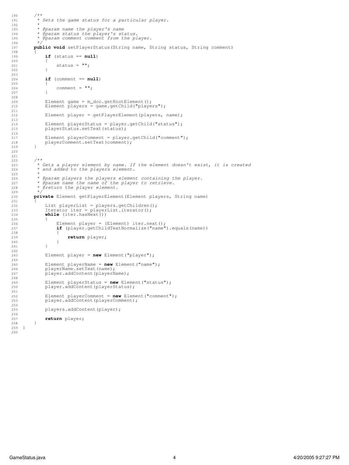```
 191 * Sets the game status for a particular player.
             193 * @param name the player's name
 194 * @param status the player's status.
             195 * @param comment comment from the player.
          public void setPlayerStatus(String name, String status, String comment)
               if (status == null)
 200 {
201 status = \binom{1}{202}if (comment == null)
\begin{array}{ccc} 205 & \hspace{1.5cm} & \hspace{1.5cm} \{ \\ 206 & \hspace{1.5cm} & \end{array}comment = " ";
209 Element game = m_d \cdot \text{det}(\mathbf{z})<br>
210 Element players = \text{name of child("player)}Element players = game.getChild("players");
 212 Element player = getPlayerElement(players, name);
214 Element playerStatus = player.getChild("status");<br>215 DlaverStatus.setText(status);
               playerStatus.setText(status);
217 Element playerComment = player.getChild("comment");<br>
playerComment.setText(comment);
          playerComment.setText(comment);
 222 /**
 223 * Gets a player element by name. If the element doesn't exist, it is created
 224 * and added to the players element.
 226 * @param players the players element containing the player.
<sup>227</sup> * @param name the name of the player to retrieve.<br>228 * @return the player element.
            228 * @return the player element.
          private Element getPlayerElement (Element players, String name)
231 {<br>232
232 List playerList = players.getChildren();<br>
233 Iterator iter = playerList.iterator();
 234 while (iter.hasNext())
 236 Element player = (Element) iter.next();
 237 if (player.getChildTextNormalize("name").equals(name))
 238 {
 239 return player;
\begin{array}{c} 2\,4\,0 \\ 2\,4\,1 \end{array} \qquad \qquad \}Element player = new Element("player");
 245 Element playerName = new Element("name");
246 playerName.setText(name);<br>247 player.addContent(playerN
               player.addContent(playerName);
249 Element playerStatus = new Element ("status");<br>250 player.addContent(playerStatus);
               player.addContent(playerStatus);
252 Element playerComment = new Element("comment");<br>253 player.addContent(playerComment);
               player.addContent(playerComment);
               players.addContent(player);
          return player;
```

```
256<br>257258<br>259 }
 259 }
 260
```
190 */\*\**

192 *\**

196 *\*/*

198<br>199

 202 } 203

 207 } 208

211

213

216<br>217

225 *\**

229 *\*/*

235 {

 241 }  $\begin{array}{l} 2\,4\,2 \\ 2\,4\,3 \end{array}$ 

244

248

251

 $254$ <br> $255$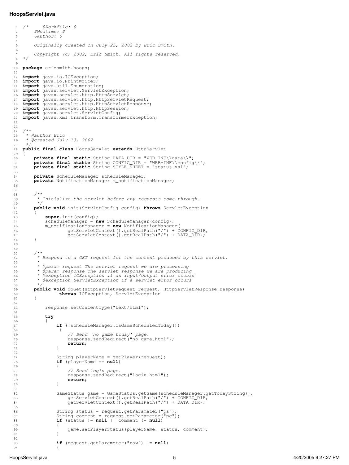#### <span id="page-6-0"></span>**HoopsServlet.java**

```
 1 /* $Workfile: $
 2 $Modtime: $
 3 $Author: $
   4
   5 Originally created on July 25, 2002 by Eric Smith.
   6
           7 Copyright (c) 2002, Eric Smith. All rights reserved.
   8 */
 9
  10 package ericsmith.hoops;
  11
  12 import java.io.IOException;
 13 import java.io.PrintWriter;
 14 import java.util.Enumeration;
 15 import javax.servlet.ServletException;
 16 import javax.servlet.http.HttpServlet;
 17 import javax.servlet.http.HttpServletRequest;
 18 import javax.servlet.http.HttpServletResponse;
 19 import javax.servlet.http.HttpSession;<br>20 import javax.servlet.ServletConfig;
 20 import javax.servlet.ServletConfig;<br>21 import javax.xml.transform.Transfor
     import javax.xml.transform.TransformerException;
  22
  23
 ^{24}_{25} 25 * @author Eric
  26 * @created July 13, 2002
  27 */
  28 public final class HoopsServlet extends HttpServlet
 \frac{29}{30}30 private final static String DATA_DIR = "WEB-INF\\data\\";<br>31 private final static String CONFIG_DIR = "WEB-INF\\config
 31 private final static String CONFIG_DIR = "WEB-INF\\config\\";<br>32 private final static String STYLE SHEET = "status.xsl";
           32 private final static String STYLE_SHEET = "status.xsl";
  33
  34 private ScheduleManager scheduleManager;
          private NotificationManager m_notificationManager;
  36
  37
  38 /**
            39 * Initialize the servlet before any requests come through.
  40 */
           41 public void init(ServletConfig config) throws ServletException
 42<br>4343 super.init(config);<br>44 scheduleManager = n
 44 scheduleManager = new ScheduleManager(config);<br>45 m notificationManager = new NotificationManage
  45 m_notificationManager = new NotificationManager(
 46 getServletContext().getRealPath("/") + CONFIG_DIR,
 47 getServletContext().getRealPath("/") + DATA_DIR);
  48 }
  49
  50
 51 /**<br>52 *
            52 * Respond to a GET request for the content produced by this servlet.
  53 *
  54 * @param request The servlet request we are processing
  55 * @param response The servlet response we are producing
  56 * @exception IOException if an input/output error occurs
            57 * @exception ServletException if a servlet error occurs
  58 */
 59 public void doGet (HttpServletRequest request, HttpServletResponse response)
          throws IOException, ServletException
  61 {
  62
  63 response.setContentType("text/html");
  64
  65 try
 66<br>67
                     67 if (!scheduleManager.isGameScheduledToday())
 68 {
 69 // Send 'no game today' page.
 70 response.sendRedirect("no−game.html");
  71 return;
  72 }
  73
 74 String playerName = getPlayer(request);
 75 if (playerName == null)
 76 {
  77 // Send login page.
 78 response.sendRedirect("login.html");<br>
return:
  79 return;
 80 }
 81<br>82
82 GameStatus game = GameStatus.getGame(scheduleManager.getTodayString(),<br>
83 getServletContext().getRealPath("/") + CONFIG_DIR,<br>
84 getServletContext().getRealPath("/") + DATA_DIR);
  85
86 String status = request.getParameter("ps");<br>
87 String comment = request.getParameter("pc");<br>
88 if (status != null || comment != null)
 89 {
  90 game.setPlayerStatus(playerName, status, comment);
 91 }
  92
  93 if (request.getParameter("raw") != null)
```
{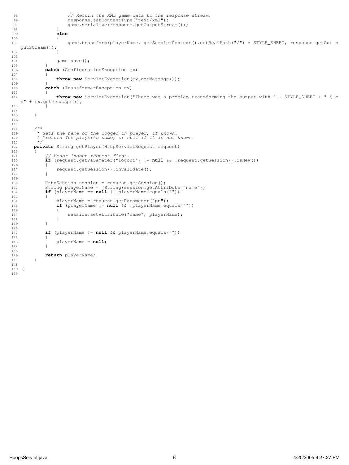```
 95 // Return the XML game data to the response stream.
 96 response.setContentType("text/xml");<br>97 came.serialize(response.getOutputStr
 97 game.serialize(response.getOutputStream());<br>98
 98 }
  99 else
\begin{array}{c} 100 \\ 101 \end{array} 101 game.transform(playerName, getServletContext().getRealPath("/") + STYLE_SHEET, response.getOut «
     putStream());
 102 }
 103
104 game.save();
105<br>106
               catch (ConfigurationException ex)
107<br>108throw new ServletException(ex.getMessage());
109<br>110catch (TransformerException ex)
\begin{array}{ccc} 111 & & & \text{if} & \\ 112 & & & \end{array} 112 throw new ServletException("There was a problem transforming the output with " + STYLE_SHEET + ".\ «
     n" + ex.getMessage());
113 }
 114
115   }
 116
 117
 118 /**
 119 * Gets the name of the logged−in player, if known.
 120 * @return The player's name, or null if it is not known.
121 + \frac{x}{122} + \frac{y}{22}private String getPlayer(HttpServletRequest request)
\begin{array}{cc} 123 \\ 124 \end{array} {
 124 // Honor logout request first.
 125 if (request.getParameter("logout") != null && !request.getSession().isNew())
 126 {
127 request.getSession().invalidate();<br>128 }
 128 }
129<br>130 130 HttpSession session = request.getSession();
 131 String playerName = (String)session.getAttribute("name");
131 String playerName = (String)session.getAttribute<br>132 if (playerName == null || playerName.equals(""))
 133 {
134 playerName = request.getParameter("pn");<br>135 if (playerName != null & & !playerName.eq
                      135 if (playerName != null && !playerName.equals(""))
 136 {
137 session.setAttribute("name", playerName);
\begin{array}{c} 138 \\ 139 \end{array} }
 139 }
\frac{140}{141}if (playerName != null && playerName.equals(""))
\begin{array}{c} 142 \\ 143 \end{array} 143 playerName = null;
 144 }
 145
           return playerName;
 147 }
 148
 149 }
 150
```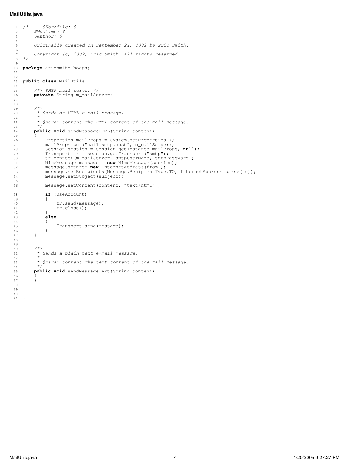#### <span id="page-8-0"></span>**MailUtils.java**

 

 $\frac{14}{15}$ 

  $\begin{array}{c} 18 \\ 19 \end{array}$ 

{

<br> $40$ 

 *\*/*

```
 1 /* $Workfile: $
 2 $Modtime: $
 3 $Author: $
   5 Originally created on September 21, 2002 by Eric Smith.
       7 Copyright (c) 2002, Eric Smith. All rights reserved.
   8 */
  10 package ericsmith.hoops;
  13 public class MailUtils
             15 /** SMTP mail server */
 16 private String m_mailServer;
 \begin{matrix} 19 & & \end{matrix} \qquad \begin{matrix} \star\star \\ \star \end{matrix} 20 * Sends an HTML e−mail message.
  21 *
              22 * @param content The HTML content of the mail message.
  23 */
             24 public void sendMessageHTML(String content)
Properties mailProps = System.getProperties();<br>
mailProps.put("mail.smtp.host", m_mailServer);<br>
Session session.getInstance(mailProps, null);<br>
Transport tr = session.getInstance(mailProps, null);<br>
tr.connect(m_mailServer, 
 31 MimeMessage message = new MimeMessage(session);
 32 message.setFrom(new InternetAddress(from));
 33 message.setRecipients(Message.RecipientType.TO, InternetAddress.parse(to));<br>34 message.setSubject(subject);
                 message.setSubject(subject);
  35
  36 message.setContent(content, "text/html");
  38 if (useAccount)
 40 tr.send(message);<br>41 tr.close();
                       tr.close();
 \frac{42}{43} 43 else
 \begin{array}{ccc} 4\,4 & \quad & \quad \{ \\ 4\,5 & \quad & \quad \end{array}Transport.send(message);
 \begin{array}{ccccc} 4\,6 &&&& \cr 4\,7 &&&& \cr \end{array} 51 * Sends a plain text e−mail message.
 52 *<br>53 * 53 * @param content The text content of the mail message.
            public void sendMessageText (String content)
```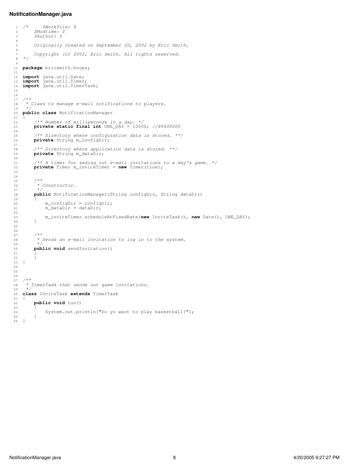#### <span id="page-9-0"></span>**NotificationManager.java**

```
 1 /* $Workfile: $
 2 $Modtime: $
 3 $Author: $
   4
   5 Originally created on September 20, 2002 by Eric Smith.
   6
   7 Copyright (c) 2002, Eric Smith. All rights reserved.
      8 */
 9
  10 package ericsmith.hoops;
  11
12 import java.util.Date;<br>13 import java.util.Timer;<br>14 import java.util.TimerTask;
  15
  16
  17 /**
        18 * Class to manage e−mail notifications to players.
  19 */
      20 public class NotificationManager
 \begin{array}{c} 21 \\ 22 \end{array}22 /** Number of milliseconds in a day.*/<br>23 private static final int ONE_DAY = 1000
            23 private static final int ONE_DAY = 10000; //86400000
  24
 25 /** Directory where configuration data is stored. **/
 26 private String m_configDir;
  27
 28 /** Directory where application data is stored. **/
 29 private String m_dataDir;
 \begin{array}{c} 30 \\ 31 \end{array} 31 /** A timer for seding out e−mail invitations to a day's game. */
           private Timer m_inviteTimer = new Timer(true);
  33
  34
  35 /**
             36 * Constructor.
  37 */
  38 public NotificationManager(String configDir, String dataDir)
 39<br>4040 m_{\text{confighir}} = \text{configDir};<br>41 m_{\text{dataDir}} = \text{dataDir};m_{\text{dataDir}} = \text{dataDir}\begin{array}{c} 42 \\ 43 \end{array} 43 m_inviteTimer.scheduleAtFixedRate(new InviteTask(), new Date(), ONE_DAY);
  44 }
  45
 46<br>4747 /**<br>48 /*
              48 * Sends an e−mail invitation to log in to the system.
  49 */
  50 public void sendInvitation()
  51 {
 \begin{array}{c} 52 \\ 53 \end{array} 53 }
  54
  55
  56
  57 /**
 58 * TimerTask that sends out game invitations.
 59 */
  60 class InviteTask extends TimerTask
 61 \n62 62 public void run()
 63<br>64System.out.println("Do yo want to play basketball?");
  65 }
  66 }
```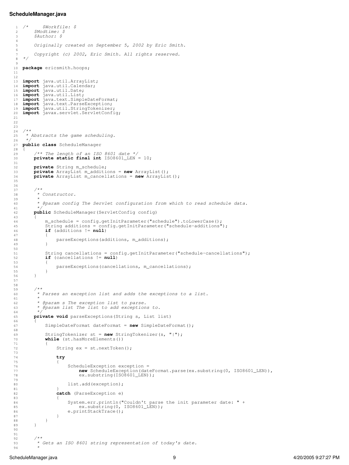#### <span id="page-10-0"></span>**ScheduleManager.java**

```
 1 /* $Workfile: $
 2 $Modtime: $
 3 $Author: $
   4
   5 Originally created on September 5, 2002 by Eric Smith.
   6
             7 Copyright (c) 2002, Eric Smith. All rights reserved.
   8 */
 9
  10 package ericsmith.hoops;
  11
  12
 13 import java.util.ArrayList;
 14 import java.util.Calendar;
 15 import java.util.Date;
 16 import java.util.List;
17 import java.text.SimpleDateFormat;<br>18 import java.text.ParseException;<br>19 import java.util.StringTokenizer;<br>20 import javax.servlet.ServletConfig;
  21
  22
  23
 ^{24}_{25} 25 * Abstracts the game scheduling.
  26 */
  27 public class ScheduleManager
 \frac{28}{29} 29 /** The length of an ISO 8601 date */
            30 private static final int ISO8601_LEN = 10;
 \frac{31}{32} 32 private String m_schedule;
  33 private ArrayList m_additions = new ArrayList();
            34 private ArrayList m_cancellations = new ArrayList();
  35
  36
  37 /**
  38 * Constructor.
  39 *
  40 * @param config The Servlet configuration from which to read schedule data.
  41 */
  42 public ScheduleManager(ServletConfig config)
 43<br>44 44 m_schedule = config.getInitParameter("schedule").toLowerCase();
 45 String additions = config.getInitParameter("schedule−additions");
  46 if (additions != null)
 \begin{array}{ccc} 47 & \phantom{000} & \phantom{000} & \phantom{000} & \phantom{000} & \phantom{000} & \phantom{000} & \phantom{000} & \phantom{000} & \phantom{000} & \phantom{000} & \phantom{000} & \phantom{000} & \phantom{000} & \phantom{000} & \phantom{000} & \phantom{000} & \phantom{000} & \phantom{000} & \phantom{000} & \phantom{000} & \phantom{000} & \phantom{000} & \phantom{000} & \phantparseExceptions(additions, m_additions);
  49 }
  50
 51 String cancellations = config.getInitParameter("schedule-cancellations");<br>52 if (cancellations != null)
                 if (cancellations != null)
 \frac{53}{54}parseExceptions(cancellations, m_cancellations);
  55 }
  56 }
  57
  58
 59<br>60 60 * Parses an exception list and adds the exceptions to a list.
  61 *
 62 * @param s The exception list to parse.
 63 * @param list The list to add exceptions to.
  64 */
  65 private void parseExceptions(String s, List list)
 66<br>67SimpleDateFormat dateFormat = new SimpleDateFormat();
  68
  69 StringTokenizer st = new StringTokenizer(s, "|");
                 while (st.hasMoreElements())
 71<br>72String ex = st.nextToken();
  73
  74 try
 75 {
 76 ScheduleException exception =<br>77 new ScheduleException (dat
 77 new ScheduleException(dateFormat.parse(ex.substring(0, ISO8601_LEN)),<br>
ex.substring(ISO8601_LEN));
                                  ex.substring(ISO8601_LEN));
  79
 80 list.add(exception);<br>81 }
 81 }
  82 catch (ParseException e)
 83 {
 84 System.err.println("Couldn't parse the init parameter date: " + \frac{1}{100} ex.substring(0, ISO8601 LEN)):
                                  ex.substring(0, ISO8601_LEN));86 e.printStackTrace();<br>87 }
 87 }
 \begin{array}{ccc}\n 88 & & & \cr \hline\n 89 & & & \cr \end{array} 89 }
  90
  91
  92 /**
```
ScheduleManager.java 9 4/20/2005 9:27:27 PM

 *\**

 *\* Gets an ISO 8601 string representation of today's date.*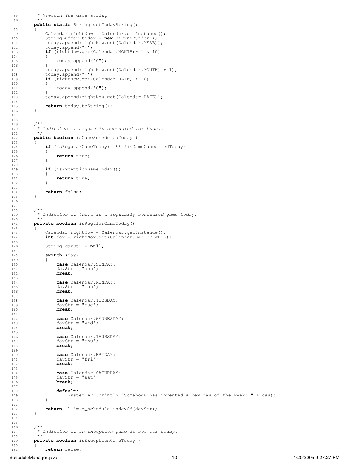```
 95 * @return The date string
            97 public static String getTodayString()
 99 Calendar rightNow = Calendar.getInstance();
 100 StringBuffer today = new StringBuffer();
101 today.append(rightNow.get(Calendar.YEAR));<br>102 today.append("-");
102 today.append("−");<br>103 if (rightNow.get(C
                \textbf{if} (rightNow.get(Calendar.MONTH) + 1 < 10)
                      today.append("0");
 107 today.append(rightNow.get(Calendar.MONTH) + 1);
 108 today.append("−");
 109 if (rightNow.get(Calendar.DATE) < 10)
\begin{matrix} 110\\ 111 \end{matrix}today.append("0");
                 113 today.append(rightNow.get(Calendar.DATE));
115 return today.toString();
            * Indicates if a game is scheduled for today.
            122 public boolean isGameScheduledToday()
                if (isRegularGameToday() && !isGameCancelledToday())
\begin{array}{ccc} 125 & \phantom{000} & \phantom{000} & \phantom{000} & \phantom{000} & \phantom{000} & \phantom{000} & \phantom{000} & \phantom{000} & \phantom{000} & \phantom{000} & \phantom{000} & \phantom{000} & \phantom{000} & \phantom{000} & \phantom{000} & \phantom{000} & \phantom{000} & \phantom{000} & \phantom{000} & \phantom{000} & \phantom{000} & \phantom{000} & \phantom{000} & \return true;
 129 if (isExceptionGameToday())
\begin{array}{c} 130 \\ 131 \end{array}return true;
134 return false;
 139 * Indicates if there is a regularly scheduled game today.
 141 private boolean isRegularGameToday()
                Calendar rightNow = Calendar.getInstance();
 144 int day = rightNow.get(Calendar.DAY_OF_WEEK);
 146 String dayStr = null;
                switch (day)
                      case Calendar.SUNDAY:
151 \frac{dayStr}{} = "sun";<br>
152 break:
                     break:
154 case Calendar.MONDAY:<br>155 dayStr = "mon";
155 \text{dayStr} = \text{ "mon";}<br>156 break;
                     break;
158 case Calendar.TUESDAY:<br>159 dayStr = "tue";
159 dayStr = "true";<br>160 break;
                     break;
162 case Calendar.WEDNESDAY:<br>163 davStr = "wed":
163 \text{dayStr} = \text{``wed''};<br>164 \text{break}:break;
166 case Calendar.THURSDAY:<br>167 dayStr = "thu";
 168 break;
170 case Calendar.FRIDAY:<br>171 dayStr = "fri";
171 \text{dayStr} = \text{``fri''};<br>172 break:
                     break;
 174 case Calendar.SATURDAY:
 175 dayStr = "sat";
 176 break;
178 default:<br>179 Syst
                 System.err.println("Somebody has invented a new day of the week: " + day);
           return −1 != m_schedule.indexOf(dayStr);
             * Indicates if an exception game is set for today.
 189 private boolean isExceptionGameToday()
```
96 *\*/*

98 {

 $104$ <br> $105$ 

106<br>107

 $\frac{112}{113}$ 

114

121 *\*/*

 $123$ <br> $124$ 

 127 } 128

 132 } 133

140 *\*/*

 $142$ <br> $143$ 

145

 $147$ <br> $148$ 

 $149$ <br> $150$ 

 $153$ <br> $154$ 

 $157$ <br> $158$ 

 $161$ <br> $162$ 

165

169<br>170

173

177

 180 } 181

188 *\*/*

190 {